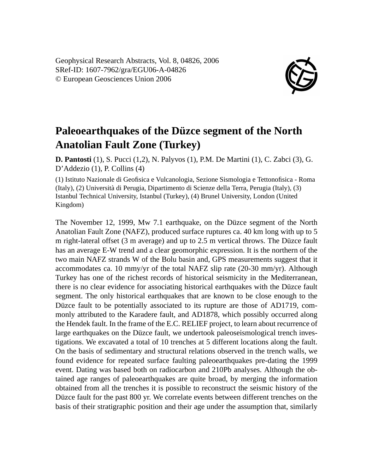Geophysical Research Abstracts, Vol. 8, 04826, 2006 SRef-ID: 1607-7962/gra/EGU06-A-04826 © European Geosciences Union 2006



## **Paleoearthquakes of the Düzce segment of the North Anatolian Fault Zone (Turkey)**

**D. Pantosti** (1), S. Pucci (1,2), N. Palyvos (1), P.M. De Martini (1), C. Zabci (3), G. D'Addezio (1), P. Collins (4)

(1) Istituto Nazionale di Geofisica e Vulcanologia, Sezione Sismologia e Tettonofisica - Roma (Italy), (2) Università di Perugia, Dipartimento di Scienze della Terra, Perugia (Italy), (3) Istanbul Technical University, Istanbul (Turkey), (4) Brunel University, London (United Kingdom)

The November 12, 1999, Mw 7.1 earthquake, on the Düzce segment of the North Anatolian Fault Zone (NAFZ), produced surface ruptures ca. 40 km long with up to 5 m right-lateral offset (3 m average) and up to 2.5 m vertical throws. The Düzce fault has an average E-W trend and a clear geomorphic expression. It is the northern of the two main NAFZ strands W of the Bolu basin and, GPS measurements suggest that it accommodates ca. 10 mmy/yr of the total NAFZ slip rate (20-30 mm/yr). Although Turkey has one of the richest records of historical seismicity in the Mediterranean, there is no clear evidence for associating historical earthquakes with the Düzce fault segment. The only historical earthquakes that are known to be close enough to the Düzce fault to be potentially associated to its rupture are those of AD1719, commonly attributed to the Karadere fault, and AD1878, which possibly occurred along the Hendek fault. In the frame of the E.C. RELIEF project, to learn about recurrence of large earthquakes on the Düzce fault, we undertook paleoseismological trench investigations. We excavated a total of 10 trenches at 5 different locations along the fault. On the basis of sedimentary and structural relations observed in the trench walls, we found evidence for repeated surface faulting paleoearthquakes pre-dating the 1999 event. Dating was based both on radiocarbon and 210Pb analyses. Although the obtained age ranges of paleoearthquakes are quite broad, by merging the information obtained from all the trenches it is possible to reconstruct the seismic history of the Düzce fault for the past 800 yr. We correlate events between different trenches on the basis of their stratigraphic position and their age under the assumption that, similarly